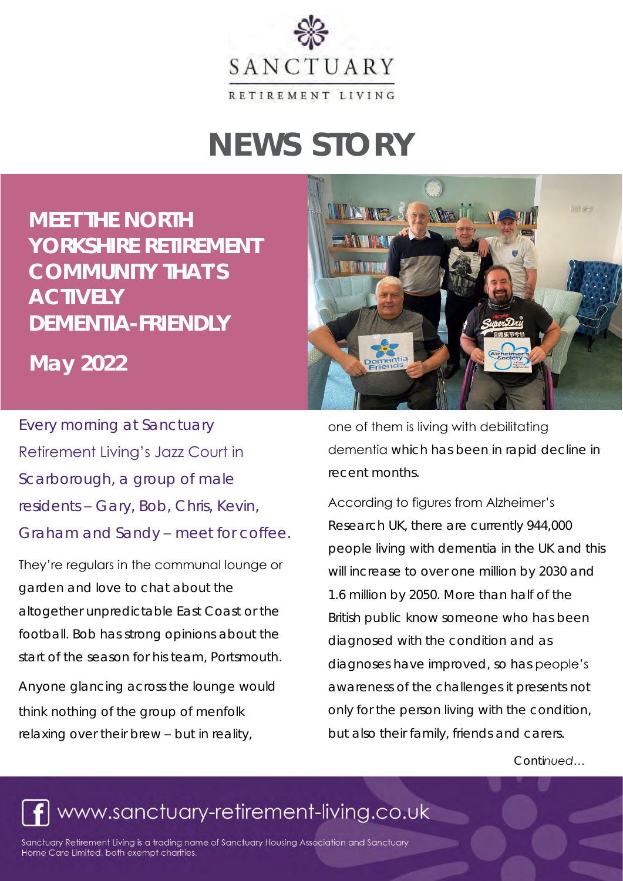

# **NEWS STORY**

**MEET THE NORTH YORKSHIRE RETIREMENT COMMUNITY THAT'S ACTIVELY DEMENTIA-FRIENDLY** 

**May 2022** 

Every morning at Sanctuary Retirement Living's Jazz Court in Scarborough, a group of male residents – Gary, Bob, Chris, Kevin, Graham and Sandy – meet for coffee .

They're regulars in the communal lounge or garden and love to chat about the altogether unpredictable East Coast or the football. Bob has strong opinions about the start of the season for his team, Portsmouth.

Anyone glancing across the lounge would think nothing of the group of menfolk relaxing over their brew – but in reality,



one of them is living with debilitating dementia which has been in rapid decline in recent months.

#### According to figures from Alzheimer's

Research UK, there are currently 944,000 people living with dementia in the UK and this will increase to over one million by 2030 and 1.6 million by 2050. More than half of the British public know someone who has been diagnosed with the condition and as diagnoses have improved, so has people's awareness of the challenges it presents not only for the person living with the condition, but also their family, friends and carers.

*Continued…*

## www.sanctuary-retirement-living.co.uk

Sanctuary Retirement Living is a trading name of Sanctuary Housing Association and Sanctuary Home Care Limited, both exempt charities.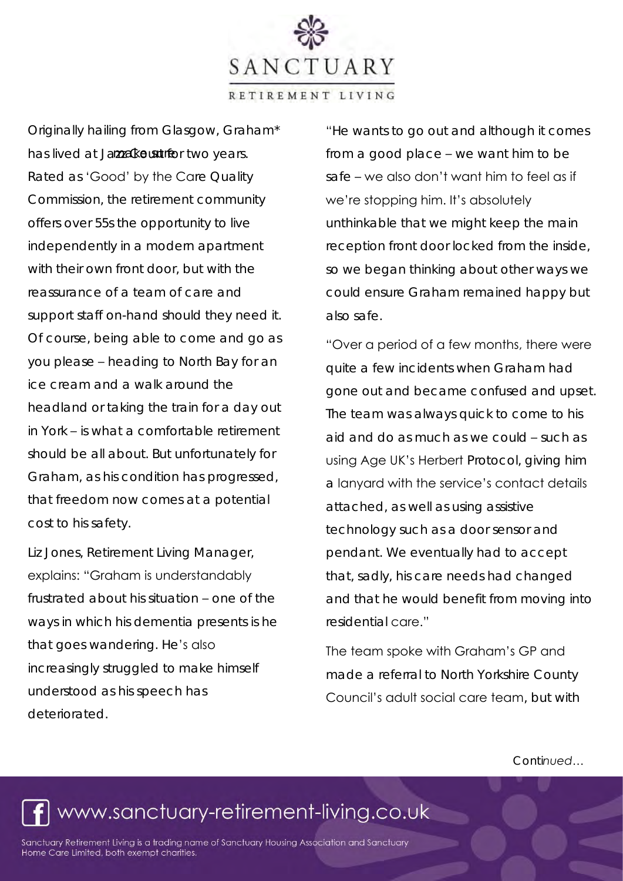SANCTUARY RETIREMENT LIVING

Originally hailing from Glasgow, Graham\* has lived at Jamak out the two years. Rated as 'Good' by the Care Quality Commission, the retirement community offers over 55s the opportunity to live independently in a modern apartment with their own front door, but with the reassurance of a team of care and support staff on-hand should they need it. Of course, being able to come and go as you please – heading to North Bay for an ice cream and a walk around the headland or taking the train for a day out in York – is what a comfortable retirement should be all about. But unfortunately for Graham, as his condition has progressed, that freedom now comes at a potential cost to his safety.

Liz Jones, Retirement Living Manager, explains: "Graham is understandably frustrated about his situation – one of the ways in which his dementia presents is he that goes wandering. He's also increasingly struggled to make himself understood as his speech has deteriorated.

"He wants to go out and although it comes from a good place – we want him to be safe – we also don't want him to feel as if we're stopping him. It's absolutely unthinkable that we might keep the main reception front door locked from the inside, so we began thinking about other ways we could ensure Graham remained happy but also safe.

"Over a period of a few months, there were quite a few incidents when Graham had gone out and became confused and upset. The team was always quick to come to his aid and do as much as we could – such as using Age UK's Herbert Protocol, giving him a lanyard with the service's contact details attached, as well as using assistive technology such as a door sensor and pendant. We eventually had to accept that, sadly, his care needs had changed and that he would benefit from moving into residential care."

The team spoke with Graham's GP and made a referral to North Yorkshire County Council's adult social care team, but with

*Continued…*

## www.sanctuary-retirement-living.co.uk

Sanctuary Retirement Living is a trading name of Sanctuary Housing Association and Sanctuary Home Care Limited, both exempt charities.